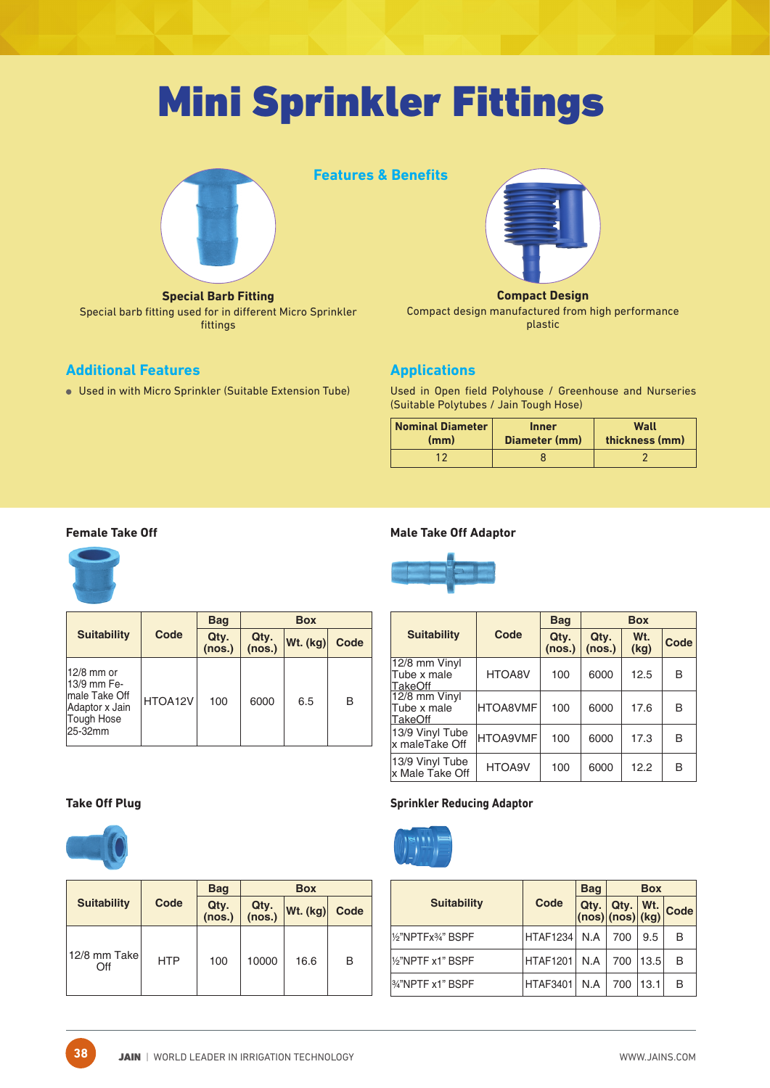# Mini Sprinkler Fittings



**Special Barb Fitting** Special barb fitting used for in different Micro Sprinkler fittings

#### **Additional Features**

Used in with Micro Sprinkler (Suitable Extension Tube)





#### **Compact Design**

Compact design manufactured from high performance plastic

### **Applications**

Used in Open field Polyhouse / Greenhouse and Nurseries (Suitable Polytubes / Jain Tough Hose)

| <b>Nominal Diameter</b> | <b>Inner</b>  | Wall           |
|-------------------------|---------------|----------------|
| (mm)                    | Diameter (mm) | thickness (mm) |
|                         |               |                |

#### **Female Take Off**



|                                                                                        |         | <b>Bag</b>     |                | <b>Box</b> |      |  |
|----------------------------------------------------------------------------------------|---------|----------------|----------------|------------|------|--|
| <b>Suitability</b>                                                                     | Code    | Qty.<br>(nos.) | Qty.<br>(nos.) | Wt. (kg)   | Code |  |
| 12/8 mm or<br>13/9 mm Fe-<br>Imale Take Off<br>Adaptor x Jain<br>Tough Hose<br>25-32mm | HTOA12V | 100            | 6000           | 6.5        | в    |  |

#### **Male Take Off Adaptor**



|                                                |                 | <b>Bag</b>     |                | <b>Box</b>  |      |
|------------------------------------------------|-----------------|----------------|----------------|-------------|------|
| <b>Suitability</b>                             | Code            | Qty.<br>(nos.) | Qty.<br>(nos.) | Wt.<br>(kg) | Code |
| 12/8 mm Vinyl<br>Tube x male<br><b>TakeOff</b> | HTOA8V          | 100            | 6000           | 12.5        | В    |
| 12/8 mm Vinyl<br>Tube x male<br><b>TakeOff</b> | <b>HTOA8VMF</b> | 100            | 6000           | 17.6        | в    |
| 13/9 Vinyl Tube<br>lx maleTake Off             | <b>HTOA9VMF</b> | 100            | 6000           | 17.3        | в    |
| 13/9 Vinyl Tube<br>x Male Take Off             | HTOA9V          | 100            | 6000           | 12.2        | в    |

#### **Take Off Plug**



**38**

|                      |            | <b>Bag</b>     |                                                            | <b>Box</b> |      |
|----------------------|------------|----------------|------------------------------------------------------------|------------|------|
| <b>Suitability</b>   | Code       | Qty.<br>(nos.) | Qty.<br>(nos.)<br>$ \mathsf{Wt.}\left(\mathsf{kg}\right) $ |            | Code |
| 12/8 mm Takel<br>Off | <b>HTP</b> | 100            | 10000                                                      | 16.6       | B    |

#### **Sprinkler Reducing Adaptor**



|                              |                 | <b>Bag</b> | <b>Box</b> |      |                    |  |
|------------------------------|-----------------|------------|------------|------|--------------------|--|
| <b>Suitability</b>           | Code            |            |            |      | Qty. Qty. Wt. Code |  |
| 1/2"NPTFx3/4" BSPF           | <b>HTAF1234</b> | N.A        | 700        | 9.5  | в                  |  |
| 1/2"NPTF x1" BSPF            | <b>HTAF1201</b> | N.A        | 700        | 13.5 | в                  |  |
| <sup>34"</sup> NPTF x1" BSPF | <b>HTAF3401</b> | N.A        | 700        | 13.1 | в                  |  |